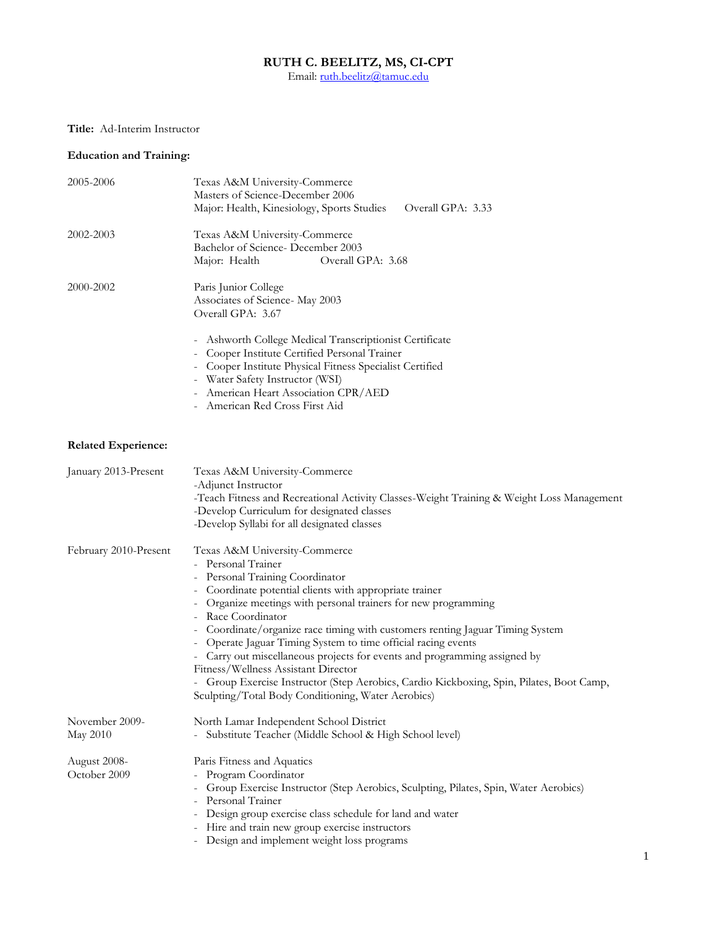#### **RUTH C. BEELITZ, MS, CI-CPT**

Email: <u>ruth.beelitz@tamuc.edu</u>

## **Title:** Ad-Interim Instructor

## **Education and Training:**

| 2005-2006                    | Texas A&M University-Commerce<br>Masters of Science-December 2006<br>Major: Health, Kinesiology, Sports Studies<br>Overall GPA: 3.33                                                                                                                                                                                                                                                                                                                                                                                                                                                                                                                        |  |  |
|------------------------------|-------------------------------------------------------------------------------------------------------------------------------------------------------------------------------------------------------------------------------------------------------------------------------------------------------------------------------------------------------------------------------------------------------------------------------------------------------------------------------------------------------------------------------------------------------------------------------------------------------------------------------------------------------------|--|--|
| 2002-2003                    | Texas A&M University-Commerce<br>Bachelor of Science-December 2003<br>Major: Health<br>Overall GPA: 3.68                                                                                                                                                                                                                                                                                                                                                                                                                                                                                                                                                    |  |  |
| 2000-2002                    | Paris Junior College<br>Associates of Science- May 2003<br>Overall GPA: 3.67                                                                                                                                                                                                                                                                                                                                                                                                                                                                                                                                                                                |  |  |
|                              | - Ashworth College Medical Transcriptionist Certificate<br>- Cooper Institute Certified Personal Trainer<br>- Cooper Institute Physical Fitness Specialist Certified<br>- Water Safety Instructor (WSI)<br>American Heart Association CPR/AED<br>American Red Cross First Aid                                                                                                                                                                                                                                                                                                                                                                               |  |  |
| <b>Related Experience:</b>   |                                                                                                                                                                                                                                                                                                                                                                                                                                                                                                                                                                                                                                                             |  |  |
| January 2013-Present         | Texas A&M University-Commerce<br>-Adjunct Instructor<br>-Teach Fitness and Recreational Activity Classes-Weight Training & Weight Loss Management<br>-Develop Curriculum for designated classes<br>-Develop Syllabi for all designated classes                                                                                                                                                                                                                                                                                                                                                                                                              |  |  |
| February 2010-Present        | Texas A&M University-Commerce<br>- Personal Trainer<br>Personal Training Coordinator<br>Coordinate potential clients with appropriate trainer<br>- Organize meetings with personal trainers for new programming<br>- Race Coordinator<br>- Coordinate/organize race timing with customers renting Jaguar Timing System<br>Operate Jaguar Timing System to time official racing events<br>- Carry out miscellaneous projects for events and programming assigned by<br>Fitness/Wellness Assistant Director<br>- Group Exercise Instructor (Step Aerobics, Cardio Kickboxing, Spin, Pilates, Boot Camp,<br>Sculpting/Total Body Conditioning, Water Aerobics) |  |  |
| November 2009-<br>May 2010   | North Lamar Independent School District<br>- Substitute Teacher (Middle School & High School level)                                                                                                                                                                                                                                                                                                                                                                                                                                                                                                                                                         |  |  |
| August 2008-<br>October 2009 | Paris Fitness and Aquatics<br>Program Coordinator<br>Group Exercise Instructor (Step Aerobics, Sculpting, Pilates, Spin, Water Aerobics)<br>Personal Trainer<br>Design group exercise class schedule for land and water<br>Hire and train new group exercise instructors<br>Design and implement weight loss programs                                                                                                                                                                                                                                                                                                                                       |  |  |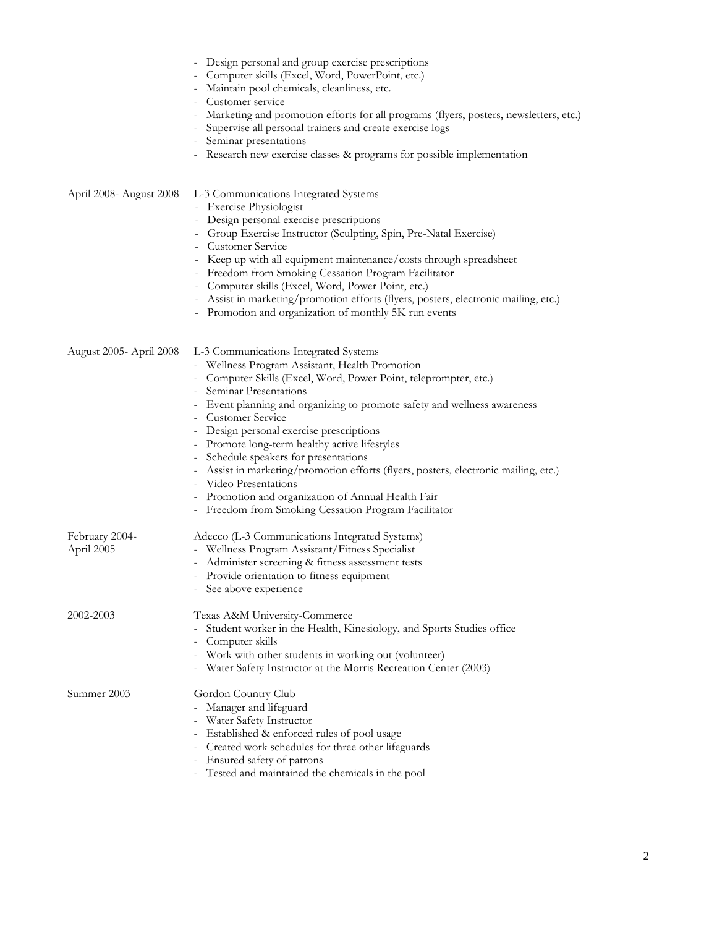|                              | Design personal and group exercise prescriptions<br>Computer skills (Excel, Word, PowerPoint, etc.)<br>Maintain pool chemicals, cleanliness, etc.<br>Customer service<br>Marketing and promotion efforts for all programs (flyers, posters, newsletters, etc.)<br>Supervise all personal trainers and create exercise logs<br>Seminar presentations<br>- Research new exercise classes & programs for possible implementation                                                                                                                                                                                                                         |
|------------------------------|-------------------------------------------------------------------------------------------------------------------------------------------------------------------------------------------------------------------------------------------------------------------------------------------------------------------------------------------------------------------------------------------------------------------------------------------------------------------------------------------------------------------------------------------------------------------------------------------------------------------------------------------------------|
| April 2008- August 2008      | L-3 Communications Integrated Systems<br>- Exercise Physiologist<br>- Design personal exercise prescriptions<br>- Group Exercise Instructor (Sculpting, Spin, Pre-Natal Exercise)<br><b>Customer Service</b><br>- Keep up with all equipment maintenance/costs through spreadsheet<br>- Freedom from Smoking Cessation Program Facilitator<br>- Computer skills (Excel, Word, Power Point, etc.)<br>Assist in marketing/promotion efforts (flyers, posters, electronic mailing, etc.)<br>Promotion and organization of monthly 5K run events                                                                                                          |
| August 2005- April 2008      | L-3 Communications Integrated Systems<br>- Wellness Program Assistant, Health Promotion<br>- Computer Skills (Excel, Word, Power Point, teleprompter, etc.)<br>Seminar Presentations<br>Event planning and organizing to promote safety and wellness awareness<br><b>Customer Service</b><br>- Design personal exercise prescriptions<br>- Promote long-term healthy active lifestyles<br>Schedule speakers for presentations<br>- Assist in marketing/promotion efforts (flyers, posters, electronic mailing, etc.)<br>Video Presentations<br>Promotion and organization of Annual Health Fair<br>Freedom from Smoking Cessation Program Facilitator |
| February 2004-<br>April 2005 | Adecco (L-3 Communications Integrated Systems)<br>- Wellness Program Assistant/Fitness Specialist<br>- Administer screening & fitness assessment tests<br>- Provide orientation to fitness equipment<br>- See above experience                                                                                                                                                                                                                                                                                                                                                                                                                        |
| 2002-2003                    | Texas A&M University-Commerce<br>- Student worker in the Health, Kinesiology, and Sports Studies office<br>Computer skills<br>Work with other students in working out (volunteer)<br>Water Safety Instructor at the Morris Recreation Center (2003)<br>$\sim$                                                                                                                                                                                                                                                                                                                                                                                         |
| Summer 2003                  | Gordon Country Club<br>- Manager and lifeguard<br>- Water Safety Instructor<br>- Established & enforced rules of pool usage<br>Created work schedules for three other lifeguards<br>Ensured safety of patrons<br>- Tested and maintained the chemicals in the pool                                                                                                                                                                                                                                                                                                                                                                                    |